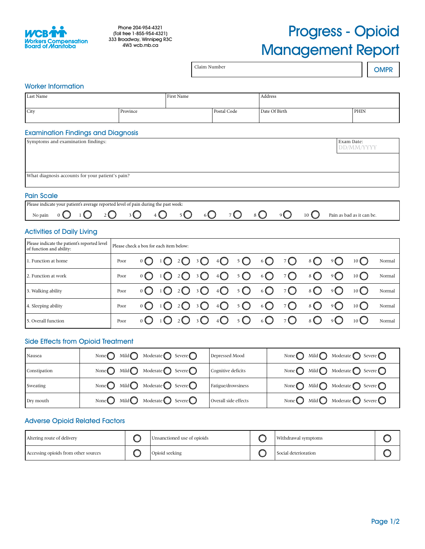

# Progress - Opioid Management Report

|                                                                                                          |                                         |                                       |            |                   | Claim Number            |                      |             |               |                                                    |                 |                            |                                       | <b>OMPR</b> |
|----------------------------------------------------------------------------------------------------------|-----------------------------------------|---------------------------------------|------------|-------------------|-------------------------|----------------------|-------------|---------------|----------------------------------------------------|-----------------|----------------------------|---------------------------------------|-------------|
| <b>Worker Information</b>                                                                                |                                         |                                       |            |                   |                         |                      |             |               |                                                    |                 |                            |                                       |             |
| Last Name                                                                                                |                                         |                                       | First Name |                   |                         |                      |             | Address       |                                                    |                 |                            |                                       |             |
| City                                                                                                     | Province                                |                                       |            |                   |                         | Postal Code          |             | Date Of Birth |                                                    |                 |                            | PHIN                                  |             |
| <b>Examination Findings and Diagnosis</b>                                                                |                                         |                                       |            |                   |                         |                      |             |               |                                                    |                 |                            |                                       |             |
| Symptoms and examination findings:                                                                       |                                         |                                       |            |                   |                         |                      |             |               | Exam Date:<br><b>DD/MM/YYYY</b>                    |                 |                            |                                       |             |
|                                                                                                          |                                         |                                       |            |                   |                         |                      |             |               |                                                    |                 |                            |                                       |             |
| What diagnosis accounts for your patient's pain?                                                         |                                         |                                       |            |                   |                         |                      |             |               |                                                    |                 |                            |                                       |             |
|                                                                                                          |                                         |                                       |            |                   |                         |                      |             |               |                                                    |                 |                            |                                       |             |
| <b>Pain Scale</b><br>Please indicate your patient's average reported level of pain during the past week: |                                         |                                       |            |                   |                         |                      |             |               |                                                    |                 |                            |                                       |             |
| $\bigcirc$<br>$2\bigcirc$<br>No pain<br>0                                                                | 3 U                                     | 4 U                                   |            | 5 <sup>o</sup>    | $6\bigcirc$             |                      | $7^{\circ}$ | 8 ( )         | $\overline{O}$                                     | 10 <sup>1</sup> | Pain as bad as it can be.  |                                       |             |
| <b>Activities of Daily Living</b>                                                                        |                                         |                                       |            |                   |                         |                      |             |               |                                                    |                 |                            |                                       |             |
| Please indicate the patient's reported level<br>of function and ability:                                 | Please check a box for each item below: |                                       |            |                   |                         |                      |             |               |                                                    |                 |                            |                                       |             |
| 1. Function at home                                                                                      | Poor                                    | 0 <sup>1</sup>                        |            | 20                | Ω<br>3                  | $4\bigcirc$          | $5^{\circ}$ | $6\bigcirc$   | $7^{\circ}$                                        | $8\bigcirc$     | 9                          | $10\bigcirc$                          | Normal      |
| 2. Function at work                                                                                      | Poor                                    | $\mathbf{0}$                          |            | 2                 | 3                       | $\sqrt[4]{}$         | $5^{\circ}$ | $6\bigcirc$   | $7^{\circ}$                                        | $8\bigcirc$     | 9 <sup>o</sup>             | $10\bigcirc$                          | Normal      |
| 3. Walking ability                                                                                       | Poor                                    | $\mathbf{0}$                          |            | 2 U J             | 3                       | $\sqrt{4}$           | $5\bigcirc$ | $6\bigcirc$   | $7^{\circ}$                                        | $8\bigcirc$     | $\overline{9}$             | $10\bigcirc$                          | Normal      |
| 4. Sleeping ability                                                                                      | Poor                                    | $\mathbf{0} \in \mathbb{C}$           |            | $2\binom{1}{2}$   | 3                       | $4\bigcirc$          | $5^{\circ}$ | $6\bigcirc$   | $7^{\circ}$                                        | 8 <sup>o</sup>  | $\overline{O}$             | $10\bigcirc$                          | Normal      |
| 5. Overall function                                                                                      | Poor                                    | $_{0}$ ( )                            | $\cup$     | $2\bigcirc$       | $\overline{\mathbf{3}}$ | $4\bigcup$           | $5\bigcirc$ | $6\bigcirc$   | $7\bigcirc$                                        | $\delta$ O      | $\mathcal{P}(\mathcal{C})$ | $10\bigcirc$                          | Normal      |
| <b>Side Effects from Opioid Treatment</b>                                                                |                                         |                                       |            |                   |                         |                      |             |               |                                                    |                 |                            |                                       |             |
| None $\bigcap$<br>Nausea                                                                                 | Mild $\bigcirc$                         | Moderate $\bigcirc$                   |            | Severe $\bigcirc$ |                         | Depressed Mood       |             |               | None $\left( \begin{array}{c} \end{array} \right)$ | Mild $\bigcap$  |                            | Moderate $\bigcirc$ Severe $\bigcirc$ |             |
| None $\bigcap$<br>Constipation                                                                           | Mild $\bigcirc$                         | Moderate $\bigcap$                    |            | Severe $\bigcirc$ |                         | Cognitive deficits   |             |               | None $\bigcirc$                                    | Mild $\bigcap$  |                            | Moderate $\bigcap$ Severe $\bigcap$   |             |
| None $\bigcirc$<br>Sweating                                                                              | Mild                                    | Moderate $\bigcirc$ Severe $\bigcirc$ |            |                   |                         | Fatigue/drowsiness   |             |               | None $\bigcirc$                                    | Mild $\bigcirc$ |                            | Moderate $\bigcap$ Severe $\bigcap$   |             |
| None $\bigcirc$<br>Dry mouth                                                                             | Mild $\bigcirc$                         | Moderate $\bigcirc$ Severe $\bigcirc$ |            |                   |                         | Overall side effects |             |               | None $\bigcirc$                                    | Mild $\bigcirc$ |                            | Moderate $\bigcirc$ Severe $\bigcirc$ |             |
| <b>Adverse Opioid Related Factors</b>                                                                    |                                         |                                       |            |                   |                         |                      |             |               |                                                    |                 |                            |                                       |             |

| Altering route of delivery           | Unsanctioned use of opioids | Withdrawal symptoms  |  |
|--------------------------------------|-----------------------------|----------------------|--|
| Accessing opioids from other sources | Opioid seeking              | Social deterioration |  |